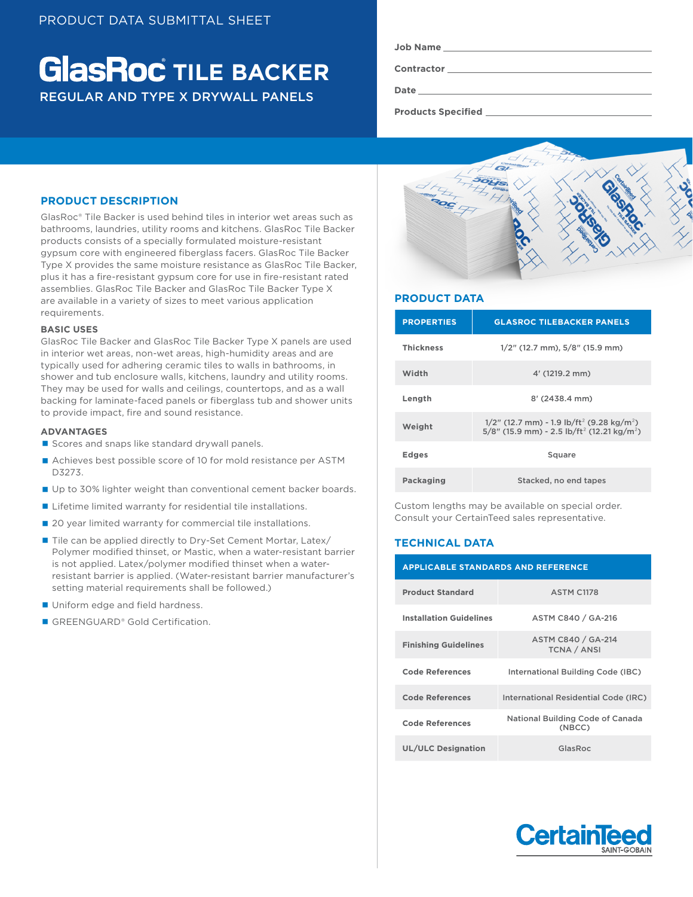# **GlasRoc** TILE BACKER REGULAR AND TYPE X DRYWALL PANELS

| <b>Job Name</b> |  |
|-----------------|--|
| Contractor      |  |
|                 |  |

**Date**

**Products Specified** 

# **PRODUCT DESCRIPTION**

GlasRoc® Tile Backer is used behind tiles in interior wet areas such as bathrooms, laundries, utility rooms and kitchens. GlasRoc Tile Backer products consists of a specially formulated moisture-resistant gypsum core with engineered fiberglass facers. GlasRoc Tile Backer Type X provides the same moisture resistance as GlasRoc Tile Backer, plus it has a fire-resistant gypsum core for use in fire-resistant rated assemblies. GlasRoc Tile Backer and GlasRoc Tile Backer Type X are available in a variety of sizes to meet various application requirements.

#### **BASIC USES**

GlasRoc Tile Backer and GlasRoc Tile Backer Type X panels are used in interior wet areas, non-wet areas, high-humidity areas and are typically used for adhering ceramic tiles to walls in bathrooms, in shower and tub enclosure walls, kitchens, laundry and utility rooms. They may be used for walls and ceilings, countertops, and as a wall backing for laminate-faced panels or fiberglass tub and shower units to provide impact, fire and sound resistance.

#### **ADVANTAGES**

- Scores and snaps like standard drywall panels.
- Achieves best possible score of 10 for mold resistance per ASTM D3273.
- Up to 30% lighter weight than conventional cement backer boards.
- **Lifetime limited warranty for residential tile installations.**
- 20 year limited warranty for commercial tile installations.
- Tile can be applied directly to Dry-Set Cement Mortar, Latex/ Polymer modified thinset, or Mastic, when a water-resistant barrier is not applied. Latex/polymer modified thinset when a waterresistant barrier is applied. (Water-resistant barrier manufacturer's setting material requirements shall be followed.)
- **Uniform edge and field hardness.**
- GREENGUARD® Gold Certification.



## **PRODUCT DATA**

| <b>PROPERTIES</b> | <b>GLASROC TILEBACKER PANELS</b>                                                                                                           |  |  |
|-------------------|--------------------------------------------------------------------------------------------------------------------------------------------|--|--|
| <b>Thickness</b>  | $1/2$ " (12.7 mm), $5/8$ " (15.9 mm)                                                                                                       |  |  |
| Width             | $4'$ (1219.2 mm)                                                                                                                           |  |  |
| Length            | $8'$ (2438.4 mm)                                                                                                                           |  |  |
| Weight            | $1/2$ " (12.7 mm) - 1.9 lb/ft <sup>2</sup> (9.28 kg/m <sup>2</sup> )<br>5/8" (15.9 mm) - 2.5 lb/ft <sup>2</sup> (12.21 kg/m <sup>2</sup> ) |  |  |
| <b>Edges</b>      | Square                                                                                                                                     |  |  |
| Packaging         | Stacked, no end tapes                                                                                                                      |  |  |

Custom lengths may be available on special order. Consult your CertainTeed sales representative.

# **TECHNICAL DATA**

| <b>APPLICABLE STANDARDS AND REFERENCE</b> |                                            |  |  |  |
|-------------------------------------------|--------------------------------------------|--|--|--|
| <b>Product Standard</b>                   | <b>ASTM C1178</b>                          |  |  |  |
| <b>Installation Guidelines</b>            | ASTM C840 / GA-216                         |  |  |  |
| <b>Finishing Guidelines</b>               | ASTM C840 / GA-214<br><b>TCNA / ANSI</b>   |  |  |  |
| Code References                           | International Building Code (IBC)          |  |  |  |
| <b>Code References</b>                    | International Residential Code (IRC)       |  |  |  |
| Code References                           | National Building Code of Canada<br>(NBCC) |  |  |  |
| <b>UL/ULC Designation</b>                 | GlasRoc                                    |  |  |  |

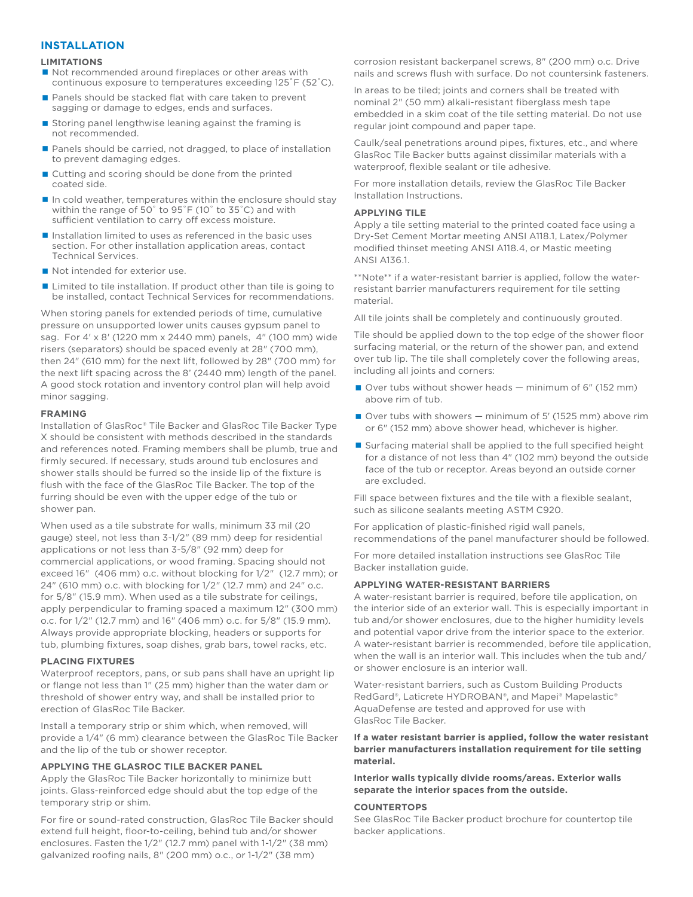## **INSTALLATION**

#### **LIMITATIONS**

- Not recommended around fireplaces or other areas with continuous exposure to temperatures exceeding 125˚F (52˚C).
- Panels should be stacked flat with care taken to prevent sagging or damage to edges, ends and surfaces.
- Storing panel lengthwise leaning against the framing is not recommended.
- Panels should be carried, not dragged, to place of installation to prevent damaging edges.
- Cutting and scoring should be done from the printed coated side.
- $\blacksquare$  In cold weather, temperatures within the enclosure should stay within the range of 50˚ to 95˚F (10˚ to 35˚C) and with sufficient ventilation to carry off excess moisture.
- $\blacksquare$  Installation limited to uses as referenced in the basic uses section. For other installation application areas, contact Technical Services.
- Not intended for exterior use.
- Limited to tile installation. If product other than tile is going to be installed, contact Technical Services for recommendations.

When storing panels for extended periods of time, cumulative pressure on unsupported lower units causes gypsum panel to sag. For 4' x 8' (1220 mm x 2440 mm) panels, 4" (100 mm) wide risers (separators) should be spaced evenly at 28" (700 mm), then 24" (610 mm) for the next lift, followed by 28" (700 mm) for the next lift spacing across the 8' (2440 mm) length of the panel. A good stock rotation and inventory control plan will help avoid minor sagging.

#### **FRAMING**

Installation of GlasRoc® Tile Backer and GlasRoc Tile Backer Type X should be consistent with methods described in the standards and references noted. Framing members shall be plumb, true and firmly secured. If necessary, studs around tub enclosures and shower stalls should be furred so the inside lip of the fixture is flush with the face of the GlasRoc Tile Backer. The top of the furring should be even with the upper edge of the tub or shower pan.

When used as a tile substrate for walls, minimum 33 mil (20 gauge) steel, not less than 3-1/2" (89 mm) deep for residential applications or not less than 3-5/8" (92 mm) deep for commercial applications, or wood framing. Spacing should not exceed 16" (406 mm) o.c. without blocking for 1/2" (12.7 mm); or 24" (610 mm) o.c. with blocking for 1/2" (12.7 mm) and 24" o.c. for 5/8" (15.9 mm). When used as a tile substrate for ceilings, apply perpendicular to framing spaced a maximum 12" (300 mm) o.c. for 1/2" (12.7 mm) and 16" (406 mm) o.c. for 5/8" (15.9 mm). Always provide appropriate blocking, headers or supports for tub, plumbing fixtures, soap dishes, grab bars, towel racks, etc.

#### **PLACING FIXTURES**

Waterproof receptors, pans, or sub pans shall have an upright lip or flange not less than 1" (25 mm) higher than the water dam or threshold of shower entry way, and shall be installed prior to erection of GlasRoc Tile Backer.

Install a temporary strip or shim which, when removed, will provide a 1/4" (6 mm) clearance between the GlasRoc Tile Backer and the lip of the tub or shower receptor.

### **APPLYING THE GLASROC TILE BACKER PANEL**

Apply the GlasRoc Tile Backer horizontally to minimize butt joints. Glass-reinforced edge should abut the top edge of the temporary strip or shim.

For fire or sound-rated construction, GlasRoc Tile Backer should extend full height, floor-to-ceiling, behind tub and/or shower enclosures. Fasten the 1/2" (12.7 mm) panel with 1-1/2" (38 mm) galvanized roofing nails, 8" (200 mm) o.c., or 1-1/2" (38 mm)

corrosion resistant backerpanel screws, 8" (200 mm) o.c. Drive nails and screws flush with surface. Do not countersink fasteners.

In areas to be tiled; joints and corners shall be treated with nominal 2" (50 mm) alkali-resistant fiberglass mesh tape embedded in a skim coat of the tile setting material. Do not use regular joint compound and paper tape.

Caulk/seal penetrations around pipes, fixtures, etc., and where GlasRoc Tile Backer butts against dissimilar materials with a waterproof, flexible sealant or tile adhesive.

For more installation details, review the GlasRoc Tile Backer Installation Instructions.

#### **APPLYING TILE**

Apply a tile setting material to the printed coated face using a Dry-Set Cement Mortar meeting ANSI A118.1, Latex/Polymer modified thinset meeting ANSI A118.4, or Mastic meeting ANSI A136.1.

\*\*Note\*\* if a water-resistant barrier is applied, follow the waterresistant barrier manufacturers requirement for tile setting material.

All tile joints shall be completely and continuously grouted.

Tile should be applied down to the top edge of the shower floor surfacing material, or the return of the shower pan, and extend over tub lip. The tile shall completely cover the following areas, including all joints and corners:

- Over tubs without shower heads  $-$  minimum of 6" (152 mm) above rim of tub.
- $\Box$  Over tubs with showers  $-$  minimum of 5' (1525 mm) above rim or 6" (152 mm) above shower head, whichever is higher.
- Surfacing material shall be applied to the full specified height for a distance of not less than 4" (102 mm) beyond the outside face of the tub or receptor. Areas beyond an outside corner are excluded.

Fill space between fixtures and the tile with a flexible sealant, such as silicone sealants meeting ASTM C920.

For application of plastic-finished rigid wall panels, recommendations of the panel manufacturer should be followed.

For more detailed installation instructions see GlasRoc Tile Backer installation guide.

#### **APPLYING WATER-RESISTANT BARRIERS**

A water-resistant barrier is required, before tile application, on the interior side of an exterior wall. This is especially important in tub and/or shower enclosures, due to the higher humidity levels and potential vapor drive from the interior space to the exterior. A water-resistant barrier is recommended, before tile application, when the wall is an interior wall. This includes when the tub and/ or shower enclosure is an interior wall.

Water-resistant barriers, such as Custom Building Products RedGard®, Laticrete HYDROBAN®, and Mapei® Mapelastic® AquaDefense are tested and approved for use with GlasRoc Tile Backer.

**If a water resistant barrier is applied, follow the water resistant barrier manufacturers installation requirement for tile setting material.**

**Interior walls typically divide rooms/areas. Exterior walls separate the interior spaces from the outside.**

#### **COUNTERTOPS**

See GlasRoc Tile Backer product brochure for countertop tile backer applications.